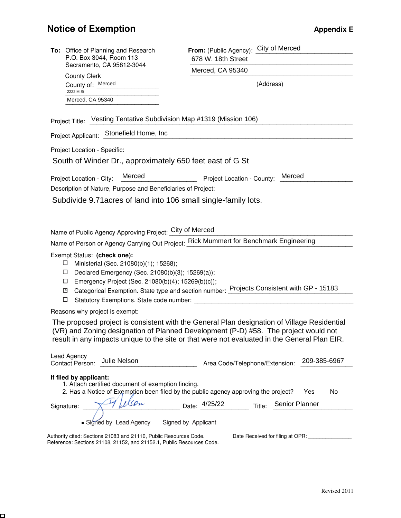□

| To: Office of Planning and Research<br>P.O. Box 3044, Room 113<br>Sacramento, CA 95812-3044                                                                                         | From: (Public Agency):         | City of Merced                   |  |
|-------------------------------------------------------------------------------------------------------------------------------------------------------------------------------------|--------------------------------|----------------------------------|--|
|                                                                                                                                                                                     | 678 W. 18th Street             |                                  |  |
| <b>County Clerk</b>                                                                                                                                                                 | Merced, CA 95340               |                                  |  |
| County of: Merced<br>2222 M St                                                                                                                                                      |                                | (Address)                        |  |
| Merced, CA 95340                                                                                                                                                                    |                                |                                  |  |
| Project Title: Vesting Tentative Subdivision Map #1319 (Mission 106)                                                                                                                |                                |                                  |  |
| Project Applicant: Stonefield Home, Inc                                                                                                                                             |                                |                                  |  |
| Project Location - Specific:                                                                                                                                                        |                                |                                  |  |
| South of Winder Dr., approximately 650 feet east of G St                                                                                                                            |                                |                                  |  |
| Merced<br>Project Location - City:                                                                                                                                                  | Project Location - County:     | Merced                           |  |
| Description of Nature, Purpose and Beneficiaries of Project:                                                                                                                        |                                |                                  |  |
| Subdivide 9.71 acres of land into 106 small single-family lots.                                                                                                                     |                                |                                  |  |
|                                                                                                                                                                                     |                                |                                  |  |
| Name of Public Agency Approving Project: City of Merced                                                                                                                             |                                |                                  |  |
| Name of Person or Agency Carrying Out Project: Rick Mummert for Benchmark Engineering                                                                                               |                                |                                  |  |
| Exempt Status: (check one):                                                                                                                                                         |                                |                                  |  |
| Ministerial (Sec. 21080(b)(1); 15268);<br>ப                                                                                                                                         |                                |                                  |  |
| Declared Emergency (Sec. 21080(b)(3); 15269(a));<br>Ц<br>□                                                                                                                          |                                |                                  |  |
| Emergency Project (Sec. 21080(b)(4); 15269(b)(c));<br>Categorical Exemption. State type and section number: Projects Consistent with GP - 15183<br>⊠                                |                                |                                  |  |
| Statutory Exemptions. State code number: __<br>□                                                                                                                                    |                                |                                  |  |
| Reasons why project is exempt:                                                                                                                                                      |                                |                                  |  |
| The proposed project is consistent with the General Plan designation of Village Residential                                                                                         |                                |                                  |  |
| (VR) and Zoning designation of Planned Development (P-D) #58. The project would not<br>result in any impacts unique to the site or that were not evaluated in the General Plan EIR. |                                |                                  |  |
|                                                                                                                                                                                     |                                |                                  |  |
| Lead Agency<br>Julie Nelson<br>Contact Person:                                                                                                                                      | Area Code/Telephone/Extension: | 209-385-6967                     |  |
| If filed by applicant:                                                                                                                                                              |                                |                                  |  |
| 1. Attach certified document of exemption finding.                                                                                                                                  |                                |                                  |  |
| 2. Has a Notice of Exemption been filed by the public agency approving the project?                                                                                                 |                                | No<br>Yes                        |  |
| Signature:                                                                                                                                                                          | Date: $\frac{4/25/22}{2}$      | Senior Planner<br>Title:         |  |
| • Signed by Lead Agency Signed by Applicant                                                                                                                                         |                                |                                  |  |
| Authority cited: Sections 21083 and 21110, Public Resources Code.<br>Reference: Sections 21108, 21152, and 21152.1, Public Resources Code.                                          |                                | Date Received for filing at OPR: |  |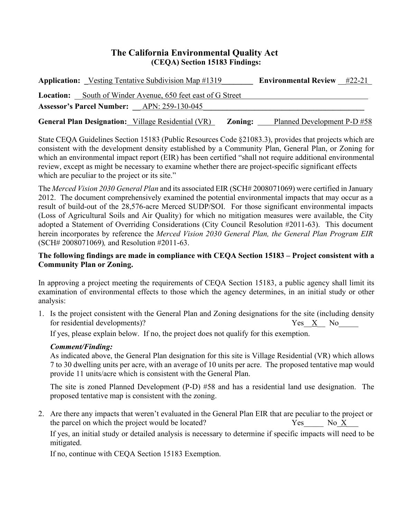# **The California Environmental Quality Act (CEQA) Section 15183 Findings:**

| <b>Application:</b> Vesting Tentative Subdivision Map #1319          | <b>Environmental Review</b> #22-21 |
|----------------------------------------------------------------------|------------------------------------|
| <b>Location:</b> South of Winder Avenue, 650 feet east of G Street   |                                    |
| <b>Assessor's Parcel Number:</b> APN: 259-130-045                    |                                    |
| <b>General Plan Designation:</b> Village Residential (VR)<br>Zoning: | Planned Development P-D #58        |

State CEQA Guidelines Section 15183 (Public Resources Code §21083.3), provides that projects which are consistent with the development density established by a Community Plan, General Plan, or Zoning for which an environmental impact report (EIR) has been certified "shall not require additional environmental review, except as might be necessary to examine whether there are project-specific significant effects which are peculiar to the project or its site."

The *Merced Vision 2030 General Plan* and its associated EIR (SCH# 2008071069) were certified in January 2012. The document comprehensively examined the potential environmental impacts that may occur as a result of build-out of the 28,576-acre Merced SUDP/SOI. For those significant environmental impacts (Loss of Agricultural Soils and Air Quality) for which no mitigation measures were available, the City adopted a Statement of Overriding Considerations (City Council Resolution #2011-63). This document herein incorporates by reference the *Merced Vision 2030 General Plan, the General Plan Program EIR*  (SCH# 2008071069)*,* and Resolution #2011-63.

### **The following findings are made in compliance with CEQA Section 15183 – Project consistent with a Community Plan or Zoning.**

In approving a project meeting the requirements of CEQA Section 15183, a public agency shall limit its examination of environmental effects to those which the agency determines, in an initial study or other analysis:

1. Is the project consistent with the General Plan and Zoning designations for the site (including density for residential developments)? The Ves X No

If yes, please explain below. If no, the project does not qualify for this exemption.

## *Comment/Finding:*

As indicated above, the General Plan designation for this site is Village Residential (VR) which allows 7 to 30 dwelling units per acre, with an average of 10 units per acre. The proposed tentative map would provide 11 units/acre which is consistent with the General Plan.

The site is zoned Planned Development (P-D) #58 and has a residential land use designation. The proposed tentative map is consistent with the zoning.

2. Are there any impacts that weren't evaluated in the General Plan EIR that are peculiar to the project or the parcel on which the project would be located? The Ves No X

If yes, an initial study or detailed analysis is necessary to determine if specific impacts will need to be mitigated.

If no, continue with CEQA Section 15183 Exemption.